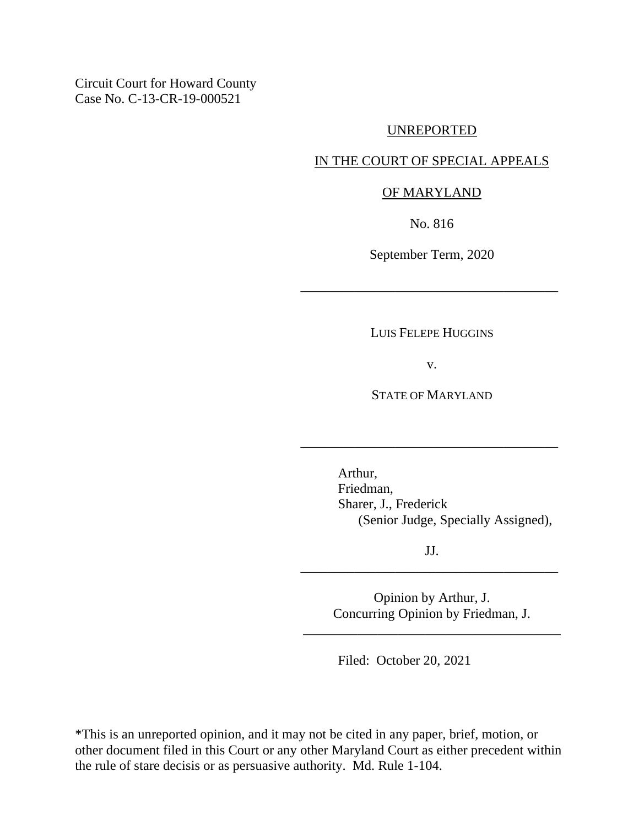Circuit Court for Howard County Case No. C-13-CR-19-000521

#### UNREPORTED

# IN THE COURT OF SPECIAL APPEALS

### OF MARYLAND

No. 816

September Term, 2020

\_\_\_\_\_\_\_\_\_\_\_\_\_\_\_\_\_\_\_\_\_\_\_\_\_\_\_\_\_\_\_\_\_\_\_\_\_\_

LUIS FELEPE HUGGINS

v.

STATE OF MARYLAND

\_\_\_\_\_\_\_\_\_\_\_\_\_\_\_\_\_\_\_\_\_\_\_\_\_\_\_\_\_\_\_\_\_\_\_\_\_\_

Arthur, Friedman, Sharer, J., Frederick (Senior Judge, Specially Assigned),

JJ. \_\_\_\_\_\_\_\_\_\_\_\_\_\_\_\_\_\_\_\_\_\_\_\_\_\_\_\_\_\_\_\_\_\_\_\_\_\_

> Opinion by Arthur, J. Concurring Opinion by Friedman, J.

\_\_\_\_\_\_\_\_\_\_\_\_\_\_\_\_\_\_\_\_\_\_\_\_\_\_\_\_\_\_\_\_\_\_\_\_\_\_

Filed: October 20, 2021

\*This is an unreported opinion, and it may not be cited in any paper, brief, motion, or other document filed in this Court or any other Maryland Court as either precedent within the rule of stare decisis or as persuasive authority. Md. Rule 1-104.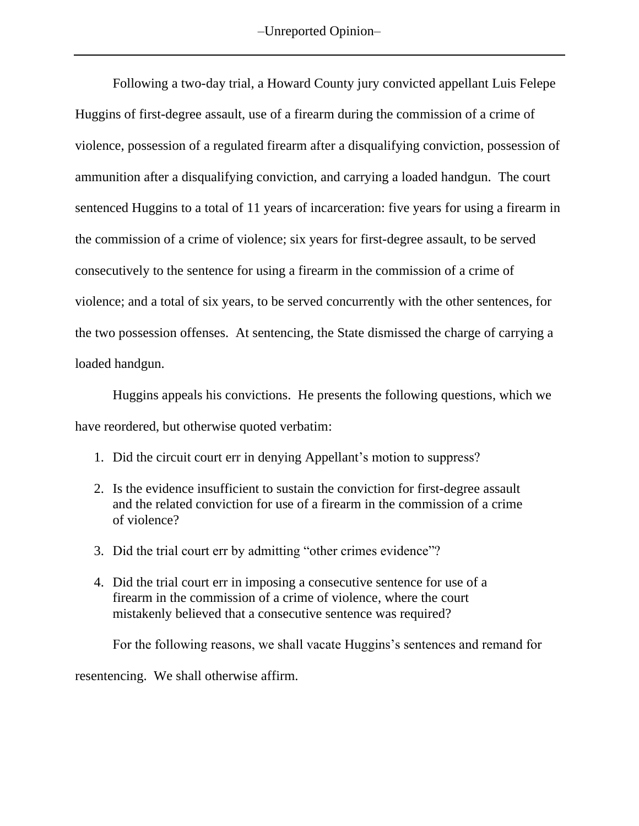Following a two-day trial, a Howard County jury convicted appellant Luis Felepe Huggins of first-degree assault, use of a firearm during the commission of a crime of violence, possession of a regulated firearm after a disqualifying conviction, possession of ammunition after a disqualifying conviction, and carrying a loaded handgun. The court sentenced Huggins to a total of 11 years of incarceration: five years for using a firearm in the commission of a crime of violence; six years for first-degree assault, to be served consecutively to the sentence for using a firearm in the commission of a crime of violence; and a total of six years, to be served concurrently with the other sentences, for the two possession offenses. At sentencing, the State dismissed the charge of carrying a loaded handgun.

Huggins appeals his convictions. He presents the following questions, which we have reordered, but otherwise quoted verbatim:

- 1. Did the circuit court err in denying Appellant's motion to suppress?
- 2. Is the evidence insufficient to sustain the conviction for first-degree assault and the related conviction for use of a firearm in the commission of a crime of violence?
- 3. Did the trial court err by admitting "other crimes evidence"?
- 4. Did the trial court err in imposing a consecutive sentence for use of a firearm in the commission of a crime of violence, where the court mistakenly believed that a consecutive sentence was required?

For the following reasons, we shall vacate Huggins's sentences and remand for

resentencing. We shall otherwise affirm.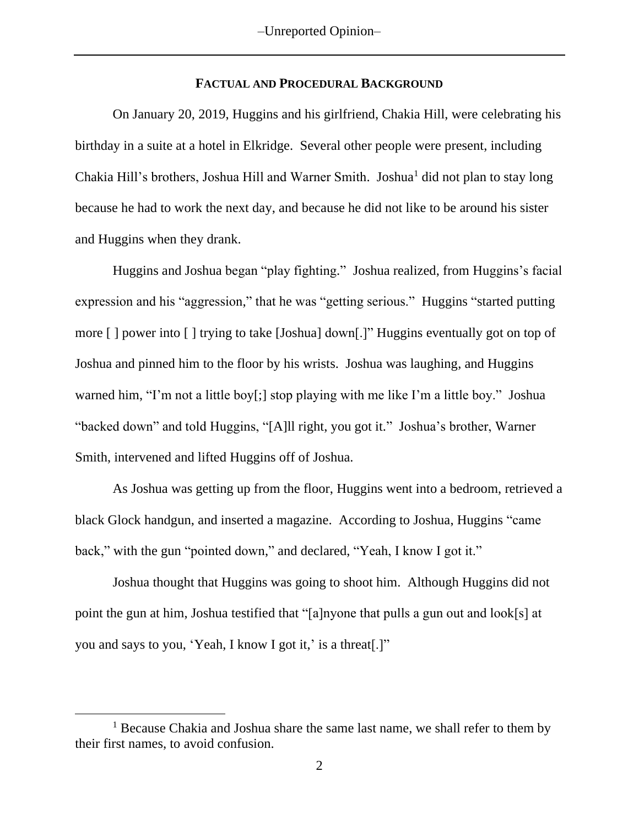### **FACTUAL AND PROCEDURAL BACKGROUND**

On January 20, 2019, Huggins and his girlfriend, Chakia Hill, were celebrating his birthday in a suite at a hotel in Elkridge. Several other people were present, including Chakia Hill's brothers, Joshua Hill and Warner Smith. Joshua<sup>1</sup> did not plan to stay long because he had to work the next day, and because he did not like to be around his sister and Huggins when they drank.

Huggins and Joshua began "play fighting." Joshua realized, from Huggins's facial expression and his "aggression," that he was "getting serious." Huggins "started putting more [ ] power into [ ] trying to take [Joshua] down[.]" Huggins eventually got on top of Joshua and pinned him to the floor by his wrists. Joshua was laughing, and Huggins warned him, "I'm not a little boy[;] stop playing with me like I'm a little boy." Joshua "backed down" and told Huggins, "[A]ll right, you got it." Joshua's brother, Warner Smith, intervened and lifted Huggins off of Joshua.

As Joshua was getting up from the floor, Huggins went into a bedroom, retrieved a black Glock handgun, and inserted a magazine. According to Joshua, Huggins "came back," with the gun "pointed down," and declared, "Yeah, I know I got it."

Joshua thought that Huggins was going to shoot him. Although Huggins did not point the gun at him, Joshua testified that "[a]nyone that pulls a gun out and look[s] at you and says to you, 'Yeah, I know I got it,' is a threat[.]"

<sup>&</sup>lt;sup>1</sup> Because Chakia and Joshua share the same last name, we shall refer to them by their first names, to avoid confusion.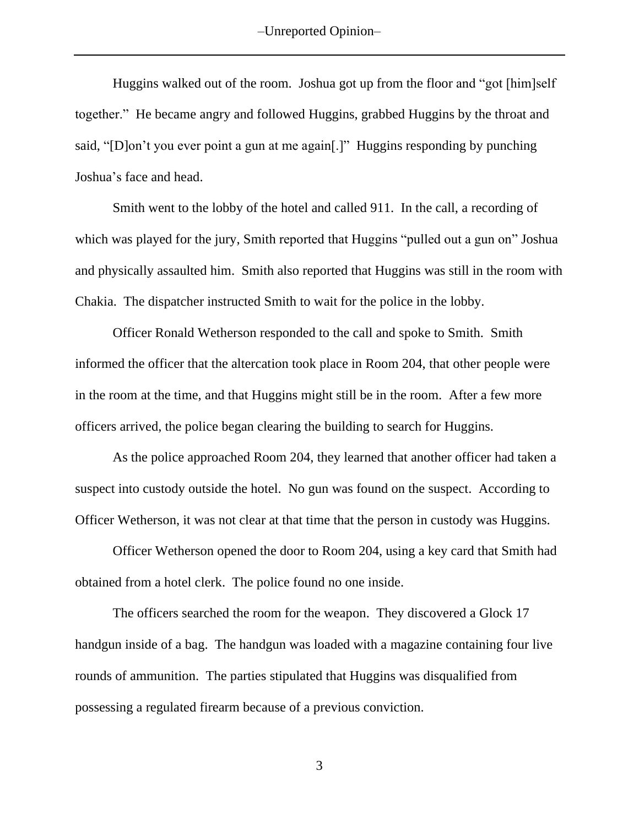–Unreported Opinion–

Huggins walked out of the room. Joshua got up from the floor and "got [him]self together." He became angry and followed Huggins, grabbed Huggins by the throat and said, "[D]on't you ever point a gun at me again[.]" Huggins responding by punching Joshua's face and head.

Smith went to the lobby of the hotel and called 911. In the call, a recording of which was played for the jury, Smith reported that Huggins "pulled out a gun on" Joshua and physically assaulted him. Smith also reported that Huggins was still in the room with Chakia. The dispatcher instructed Smith to wait for the police in the lobby.

Officer Ronald Wetherson responded to the call and spoke to Smith. Smith informed the officer that the altercation took place in Room 204, that other people were in the room at the time, and that Huggins might still be in the room. After a few more officers arrived, the police began clearing the building to search for Huggins.

As the police approached Room 204, they learned that another officer had taken a suspect into custody outside the hotel. No gun was found on the suspect. According to Officer Wetherson, it was not clear at that time that the person in custody was Huggins.

Officer Wetherson opened the door to Room 204, using a key card that Smith had obtained from a hotel clerk. The police found no one inside.

The officers searched the room for the weapon. They discovered a Glock 17 handgun inside of a bag. The handgun was loaded with a magazine containing four live rounds of ammunition. The parties stipulated that Huggins was disqualified from possessing a regulated firearm because of a previous conviction.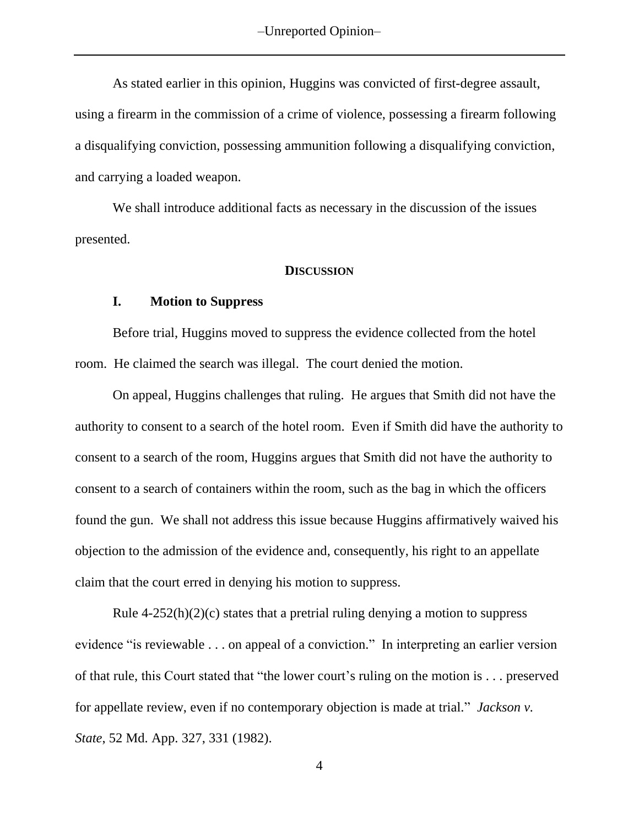As stated earlier in this opinion, Huggins was convicted of first-degree assault, using a firearm in the commission of a crime of violence, possessing a firearm following a disqualifying conviction, possessing ammunition following a disqualifying conviction, and carrying a loaded weapon.

We shall introduce additional facts as necessary in the discussion of the issues presented.

#### **DISCUSSION**

### **I. Motion to Suppress**

Before trial, Huggins moved to suppress the evidence collected from the hotel room. He claimed the search was illegal. The court denied the motion.

On appeal, Huggins challenges that ruling. He argues that Smith did not have the authority to consent to a search of the hotel room. Even if Smith did have the authority to consent to a search of the room, Huggins argues that Smith did not have the authority to consent to a search of containers within the room, such as the bag in which the officers found the gun. We shall not address this issue because Huggins affirmatively waived his objection to the admission of the evidence and, consequently, his right to an appellate claim that the court erred in denying his motion to suppress.

Rule  $4-252(h)(2)(c)$  states that a pretrial ruling denying a motion to suppress evidence "is reviewable . . . on appeal of a conviction." In interpreting an earlier version of that rule, this Court stated that "the lower court's ruling on the motion is . . . preserved for appellate review, even if no contemporary objection is made at trial." *Jackson v. State*, 52 Md. App. 327, 331 (1982).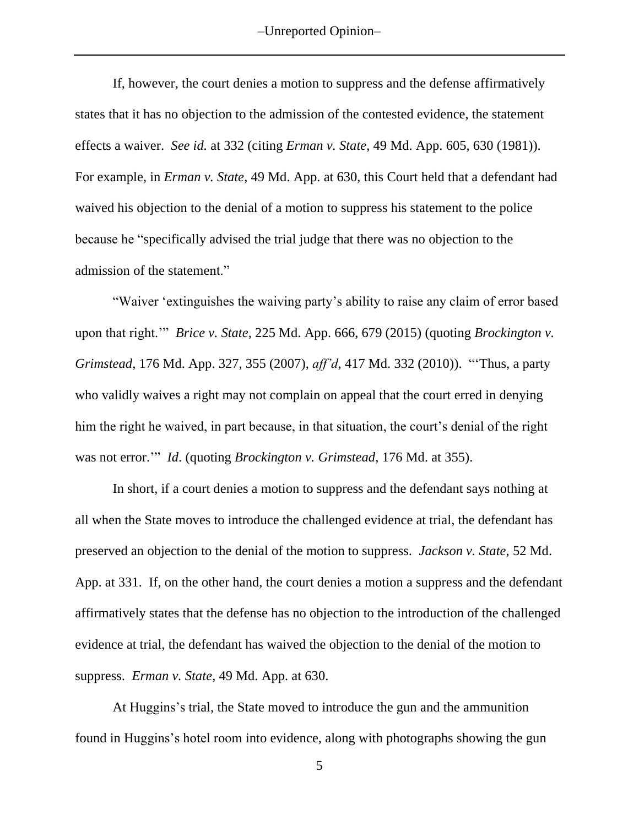–Unreported Opinion–

If, however, the court denies a motion to suppress and the defense affirmatively states that it has no objection to the admission of the contested evidence, the statement effects a waiver. *See id.* at 332 (citing *Erman v. State*, 49 Md. App. 605, 630 (1981)). For example, in *Erman v. State*, 49 Md. App. at 630, this Court held that a defendant had waived his objection to the denial of a motion to suppress his statement to the police because he "specifically advised the trial judge that there was no objection to the admission of the statement."

"Waiver 'extinguishes the waiving party's ability to raise any claim of error based upon that right.'" *Brice v. State*, 225 Md. App. 666, 679 (2015) (quoting *Brockington v. Grimstead*, 176 Md. App. 327, 355 (2007), *aff'd*, 417 Md. 332 (2010)). "'Thus, a party who validly waives a right may not complain on appeal that the court erred in denying him the right he waived, in part because, in that situation, the court's denial of the right was not error.'" *Id*. (quoting *Brockington v. Grimstead*, 176 Md. at 355).

In short, if a court denies a motion to suppress and the defendant says nothing at all when the State moves to introduce the challenged evidence at trial, the defendant has preserved an objection to the denial of the motion to suppress. *Jackson v. State*, 52 Md. App. at 331. If, on the other hand, the court denies a motion a suppress and the defendant affirmatively states that the defense has no objection to the introduction of the challenged evidence at trial, the defendant has waived the objection to the denial of the motion to suppress. *Erman v. State*, 49 Md. App. at 630.

At Huggins's trial, the State moved to introduce the gun and the ammunition found in Huggins's hotel room into evidence, along with photographs showing the gun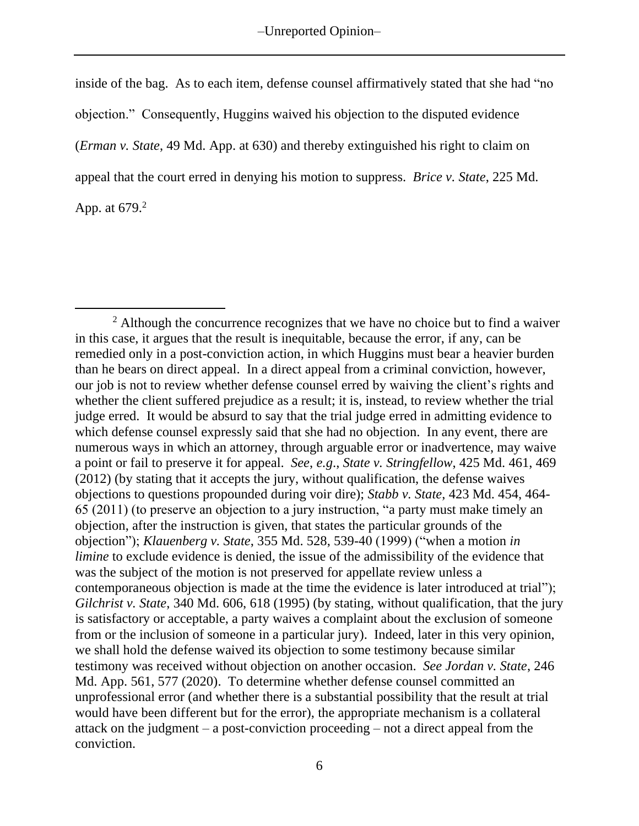inside of the bag. As to each item, defense counsel affirmatively stated that she had "no objection." Consequently, Huggins waived his objection to the disputed evidence (*Erman v. State*, 49 Md. App. at 630) and thereby extinguished his right to claim on appeal that the court erred in denying his motion to suppress. *Brice v. State*, 225 Md. App. at 679.<sup>2</sup>

 $2$  Although the concurrence recognizes that we have no choice but to find a waiver in this case, it argues that the result is inequitable, because the error, if any, can be remedied only in a post-conviction action, in which Huggins must bear a heavier burden than he bears on direct appeal. In a direct appeal from a criminal conviction, however, our job is not to review whether defense counsel erred by waiving the client's rights and whether the client suffered prejudice as a result; it is, instead, to review whether the trial judge erred. It would be absurd to say that the trial judge erred in admitting evidence to which defense counsel expressly said that she had no objection. In any event, there are numerous ways in which an attorney, through arguable error or inadvertence, may waive a point or fail to preserve it for appeal. *See*, *e.g*., *State v. Stringfellow*, 425 Md. 461, 469 (2012) (by stating that it accepts the jury, without qualification, the defense waives objections to questions propounded during voir dire); *Stabb v. State*, 423 Md. 454, 464- 65 (2011) (to preserve an objection to a jury instruction, "a party must make timely an objection, after the instruction is given, that states the particular grounds of the objection"); *Klauenberg v. State*, 355 Md. 528, 539-40 (1999) ("when a motion *in limine* to exclude evidence is denied, the issue of the admissibility of the evidence that was the subject of the motion is not preserved for appellate review unless a contemporaneous objection is made at the time the evidence is later introduced at trial"); *Gilchrist v. State*, 340 Md. 606, 618 (1995) (by stating, without qualification, that the jury is satisfactory or acceptable, a party waives a complaint about the exclusion of someone from or the inclusion of someone in a particular jury). Indeed, later in this very opinion, we shall hold the defense waived its objection to some testimony because similar testimony was received without objection on another occasion. *See Jordan v. State*, 246 Md. App. 561, 577 (2020). To determine whether defense counsel committed an unprofessional error (and whether there is a substantial possibility that the result at trial would have been different but for the error), the appropriate mechanism is a collateral attack on the judgment – a post-conviction proceeding – not a direct appeal from the conviction.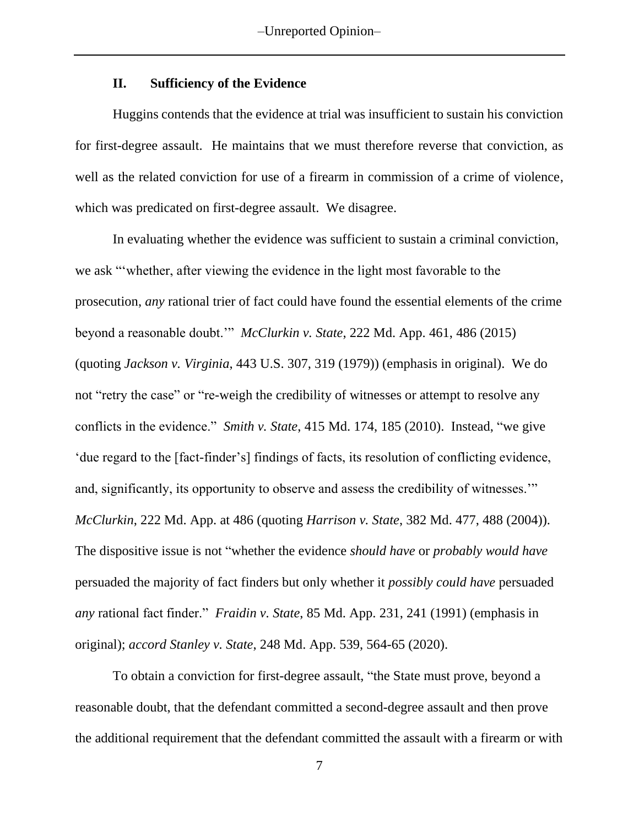### **II. Sufficiency of the Evidence**

Huggins contends that the evidence at trial was insufficient to sustain his conviction for first-degree assault. He maintains that we must therefore reverse that conviction, as well as the related conviction for use of a firearm in commission of a crime of violence, which was predicated on first-degree assault. We disagree.

In evaluating whether the evidence was sufficient to sustain a criminal conviction, we ask "'whether, after viewing the evidence in the light most favorable to the prosecution, *any* rational trier of fact could have found the essential elements of the crime beyond a reasonable doubt.'" *McClurkin v. State*, 222 Md. App. 461, 486 (2015) (quoting *Jackson v. Virginia*, 443 U.S. 307, 319 (1979)) (emphasis in original). We do not "retry the case" or "re-weigh the credibility of witnesses or attempt to resolve any conflicts in the evidence." *Smith v. State*, 415 Md. 174, 185 (2010). Instead, "we give 'due regard to the [fact-finder's] findings of facts, its resolution of conflicting evidence, and, significantly, its opportunity to observe and assess the credibility of witnesses.'" *McClurkin*, 222 Md. App. at 486 (quoting *Harrison v. State*, 382 Md. 477, 488 (2004)). The dispositive issue is not "whether the evidence *should have* or *probably would have* persuaded the majority of fact finders but only whether it *possibly could have* persuaded *any* rational fact finder." *Fraidin v. State*, 85 Md. App. 231, 241 (1991) (emphasis in original); *accord Stanley v. State*, 248 Md. App. 539, 564-65 (2020).

To obtain a conviction for first-degree assault, "the State must prove, beyond a reasonable doubt, that the defendant committed a second-degree assault and then prove the additional requirement that the defendant committed the assault with a firearm or with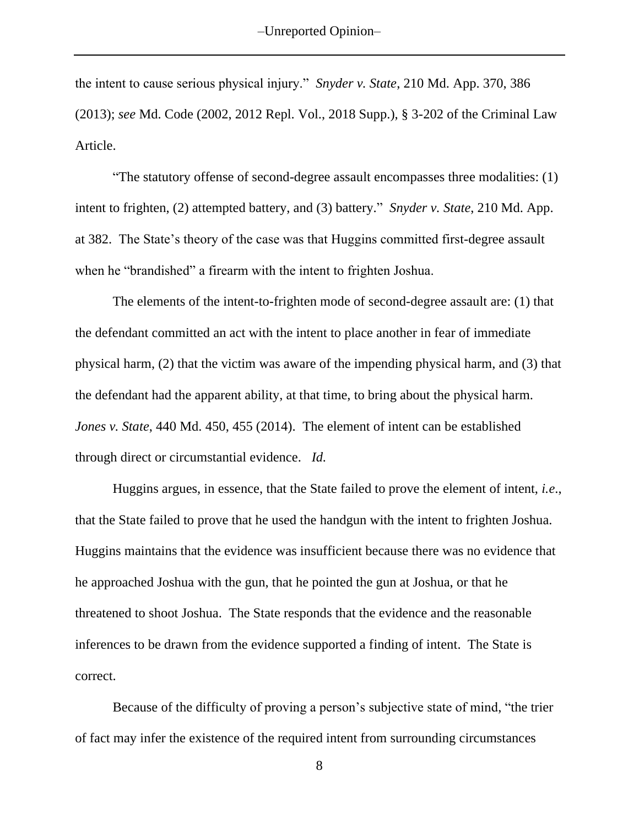the intent to cause serious physical injury." *Snyder v. State*, 210 Md. App. 370, 386 (2013); *see* Md. Code (2002, 2012 Repl. Vol., 2018 Supp.), § 3-202 of the Criminal Law Article.

"The statutory offense of second-degree assault encompasses three modalities: (1) intent to frighten, (2) attempted battery, and (3) battery." *Snyder v. State*, 210 Md. App. at 382. The State's theory of the case was that Huggins committed first-degree assault when he "brandished" a firearm with the intent to frighten Joshua.

The elements of the intent-to-frighten mode of second-degree assault are: (1) that the defendant committed an act with the intent to place another in fear of immediate physical harm, (2) that the victim was aware of the impending physical harm, and (3) that the defendant had the apparent ability, at that time, to bring about the physical harm. *Jones v. State*, 440 Md. 450, 455 (2014). The element of intent can be established through direct or circumstantial evidence. *Id.* 

Huggins argues, in essence, that the State failed to prove the element of intent, *i.e*., that the State failed to prove that he used the handgun with the intent to frighten Joshua. Huggins maintains that the evidence was insufficient because there was no evidence that he approached Joshua with the gun, that he pointed the gun at Joshua, or that he threatened to shoot Joshua. The State responds that the evidence and the reasonable inferences to be drawn from the evidence supported a finding of intent. The State is correct.

Because of the difficulty of proving a person's subjective state of mind, "the trier of fact may infer the existence of the required intent from surrounding circumstances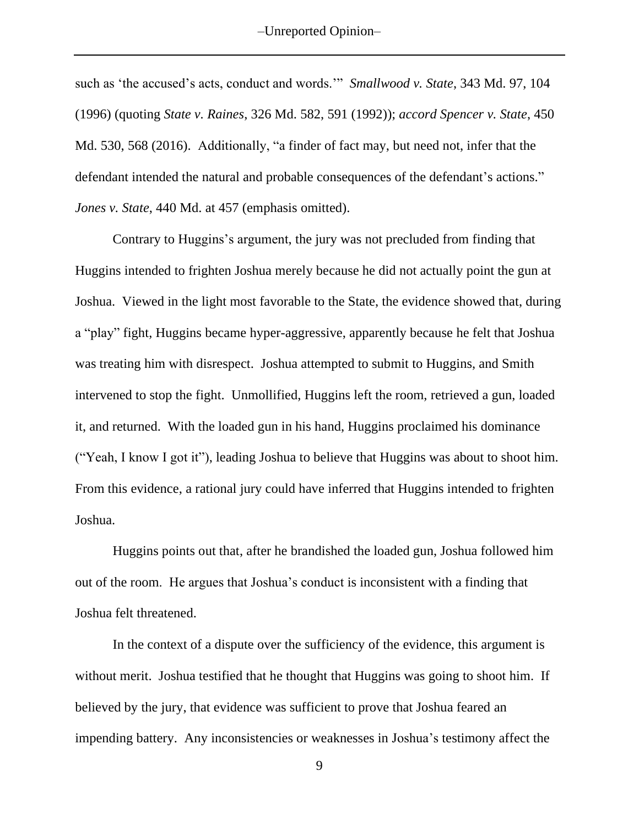such as 'the accused's acts, conduct and words.'" *Smallwood v. State*, 343 Md. 97, 104 (1996) (quoting *State v. Raines*, 326 Md. 582, 591 (1992)); *accord Spencer v. State*, 450 Md. 530, 568 (2016). Additionally, "a finder of fact may, but need not, infer that the defendant intended the natural and probable consequences of the defendant's actions." *Jones v. State*, 440 Md. at 457 (emphasis omitted).

Contrary to Huggins's argument, the jury was not precluded from finding that Huggins intended to frighten Joshua merely because he did not actually point the gun at Joshua. Viewed in the light most favorable to the State, the evidence showed that, during a "play" fight, Huggins became hyper-aggressive, apparently because he felt that Joshua was treating him with disrespect. Joshua attempted to submit to Huggins, and Smith intervened to stop the fight. Unmollified, Huggins left the room, retrieved a gun, loaded it, and returned. With the loaded gun in his hand, Huggins proclaimed his dominance ("Yeah, I know I got it"), leading Joshua to believe that Huggins was about to shoot him. From this evidence, a rational jury could have inferred that Huggins intended to frighten Joshua.

Huggins points out that, after he brandished the loaded gun, Joshua followed him out of the room. He argues that Joshua's conduct is inconsistent with a finding that Joshua felt threatened.

In the context of a dispute over the sufficiency of the evidence, this argument is without merit. Joshua testified that he thought that Huggins was going to shoot him. If believed by the jury, that evidence was sufficient to prove that Joshua feared an impending battery. Any inconsistencies or weaknesses in Joshua's testimony affect the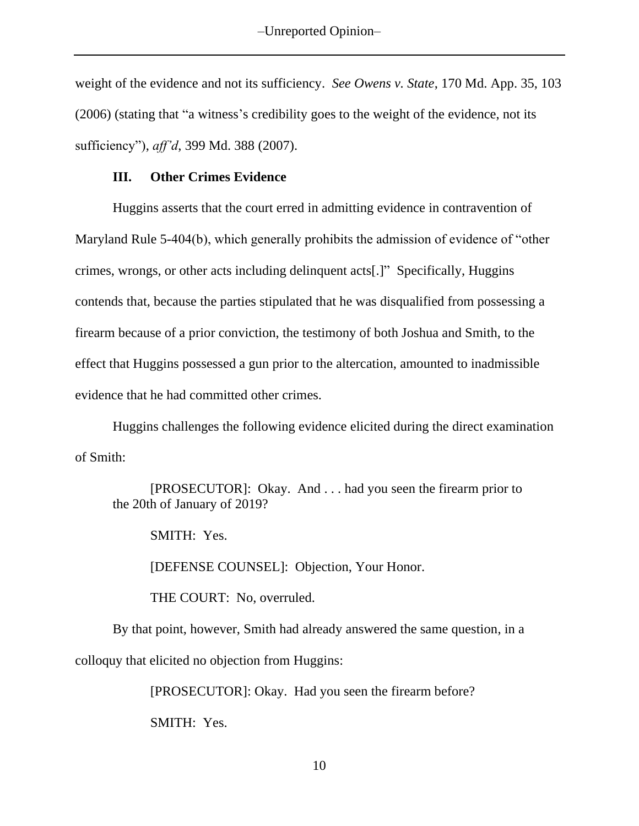weight of the evidence and not its sufficiency. *See Owens v. State*, 170 Md. App. 35, 103 (2006) (stating that "a witness's credibility goes to the weight of the evidence, not its sufficiency"), *aff'd*, 399 Md. 388 (2007).

# **III. Other Crimes Evidence**

Huggins asserts that the court erred in admitting evidence in contravention of Maryland Rule 5-404(b), which generally prohibits the admission of evidence of "other crimes, wrongs, or other acts including delinquent acts[.]" Specifically, Huggins contends that, because the parties stipulated that he was disqualified from possessing a firearm because of a prior conviction, the testimony of both Joshua and Smith, to the effect that Huggins possessed a gun prior to the altercation, amounted to inadmissible evidence that he had committed other crimes.

Huggins challenges the following evidence elicited during the direct examination of Smith:

[PROSECUTOR]: Okay. And . . . had you seen the firearm prior to the 20th of January of 2019?

SMITH: Yes.

[DEFENSE COUNSEL]: Objection, Your Honor.

THE COURT: No, overruled.

By that point, however, Smith had already answered the same question, in a colloquy that elicited no objection from Huggins:

[PROSECUTOR]: Okay. Had you seen the firearm before?

SMITH: Yes.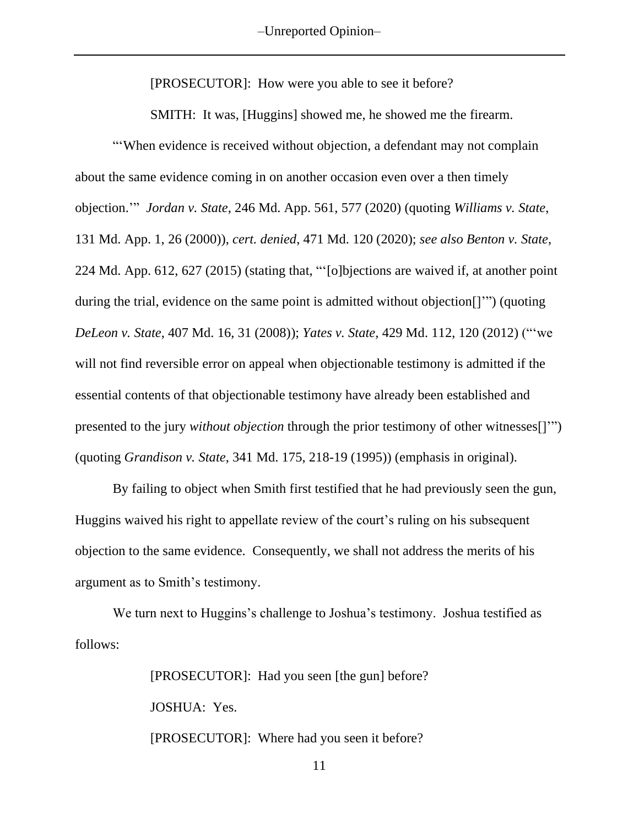–Unreported Opinion–

[PROSECUTOR]: How were you able to see it before?

SMITH: It was, [Huggins] showed me, he showed me the firearm.

"'When evidence is received without objection, a defendant may not complain about the same evidence coming in on another occasion even over a then timely objection.'" *Jordan v. State*, 246 Md. App. 561, 577 (2020) (quoting *Williams v. State*, 131 Md. App. 1, 26 (2000)), *cert. denied*, 471 Md. 120 (2020); *see also Benton v. State*, 224 Md. App. 612, 627 (2015) (stating that, "'[o]bjections are waived if, at another point during the trial, evidence on the same point is admitted without objection[]'") (quoting *DeLeon v. State*, 407 Md. 16, 31 (2008)); *Yates v. State,* 429 Md. 112, 120 (2012) ("'we will not find reversible error on appeal when objectionable testimony is admitted if the essential contents of that objectionable testimony have already been established and presented to the jury *without objection* through the prior testimony of other witnesses[]'") (quoting *Grandison v. State*, 341 Md. 175, 218-19 (1995)) (emphasis in original).

By failing to object when Smith first testified that he had previously seen the gun, Huggins waived his right to appellate review of the court's ruling on his subsequent objection to the same evidence. Consequently, we shall not address the merits of his argument as to Smith's testimony.

We turn next to Huggins's challenge to Joshua's testimony. Joshua testified as follows:

> [PROSECUTOR]: Had you seen [the gun] before? JOSHUA: Yes. [PROSECUTOR]: Where had you seen it before?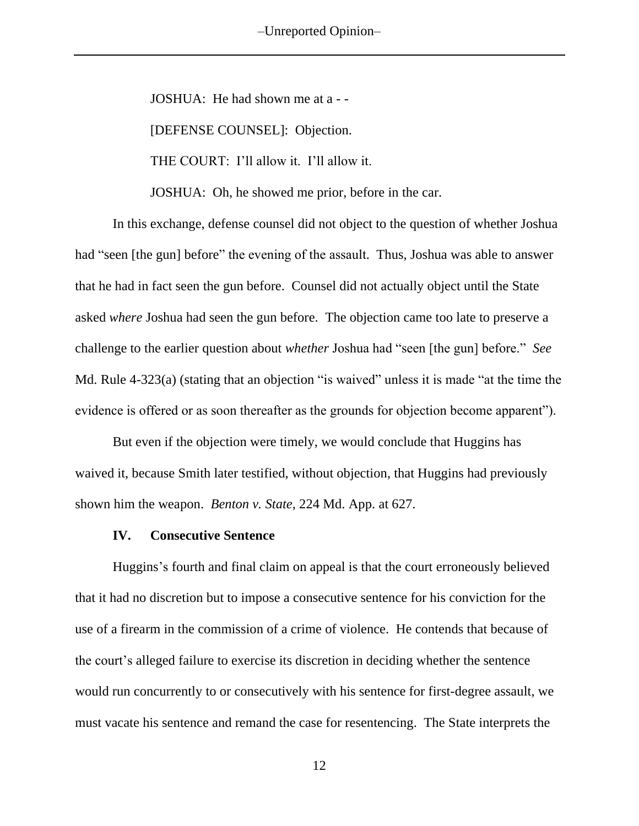-Unreported Opinion-

JOSHUA: He had shown me at a - -

[DEFENSE COUNSEL]: Objection.

THE COURT: I'll allow it. I'll allow it.

JOSHUA: Oh, he showed me prior, before in the car.

In this exchange, defense counsel did not object to the question of whether Joshua had "seen [the gun] before" the evening of the assault. Thus, Joshua was able to answer that he had in fact seen the gun before. Counsel did not actually object until the State asked *where* Joshua had seen the gun before. The objection came too late to preserve a challenge to the earlier question about *whether* Joshua had "seen [the gun] before." *See* Md. Rule 4-323(a) (stating that an objection "is waived" unless it is made "at the time the evidence is offered or as soon thereafter as the grounds for objection become apparent").

But even if the objection were timely, we would conclude that Huggins has waived it, because Smith later testified, without objection, that Huggins had previously shown him the weapon. *Benton v. State*, 224 Md. App. at 627.

### **IV. Consecutive Sentence**

Huggins's fourth and final claim on appeal is that the court erroneously believed that it had no discretion but to impose a consecutive sentence for his conviction for the use of a firearm in the commission of a crime of violence. He contends that because of the court's alleged failure to exercise its discretion in deciding whether the sentence would run concurrently to or consecutively with his sentence for first-degree assault, we must vacate his sentence and remand the case for resentencing. The State interprets the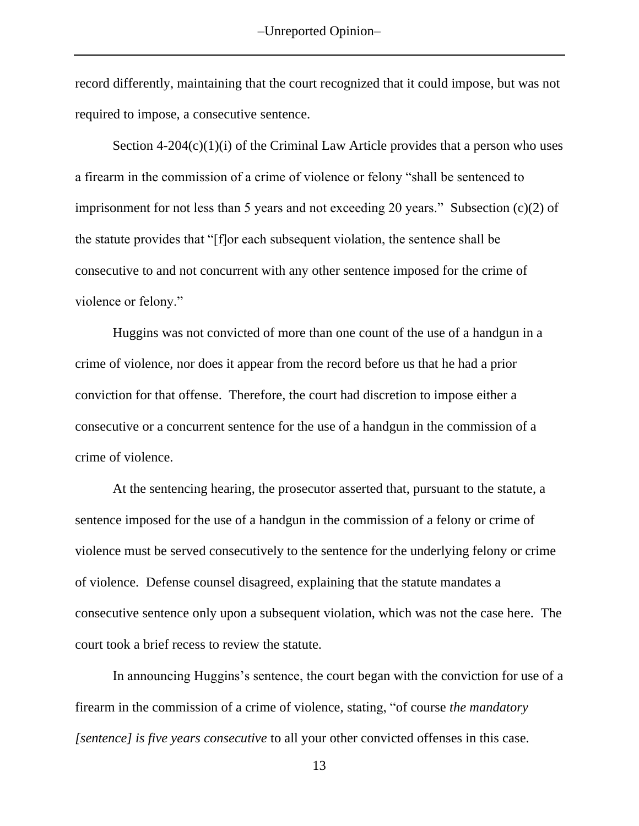record differently, maintaining that the court recognized that it could impose, but was not required to impose, a consecutive sentence.

Section  $4-204(c)(1)(i)$  of the Criminal Law Article provides that a person who uses a firearm in the commission of a crime of violence or felony "shall be sentenced to imprisonment for not less than 5 years and not exceeding 20 years." Subsection (c)(2) of the statute provides that "[f]or each subsequent violation, the sentence shall be consecutive to and not concurrent with any other sentence imposed for the crime of violence or felony."

Huggins was not convicted of more than one count of the use of a handgun in a crime of violence, nor does it appear from the record before us that he had a prior conviction for that offense. Therefore, the court had discretion to impose either a consecutive or a concurrent sentence for the use of a handgun in the commission of a crime of violence.

At the sentencing hearing, the prosecutor asserted that, pursuant to the statute, a sentence imposed for the use of a handgun in the commission of a felony or crime of violence must be served consecutively to the sentence for the underlying felony or crime of violence. Defense counsel disagreed, explaining that the statute mandates a consecutive sentence only upon a subsequent violation, which was not the case here. The court took a brief recess to review the statute.

In announcing Huggins's sentence, the court began with the conviction for use of a firearm in the commission of a crime of violence, stating, "of course *the mandatory [sentence] is five years consecutive* to all your other convicted offenses in this case.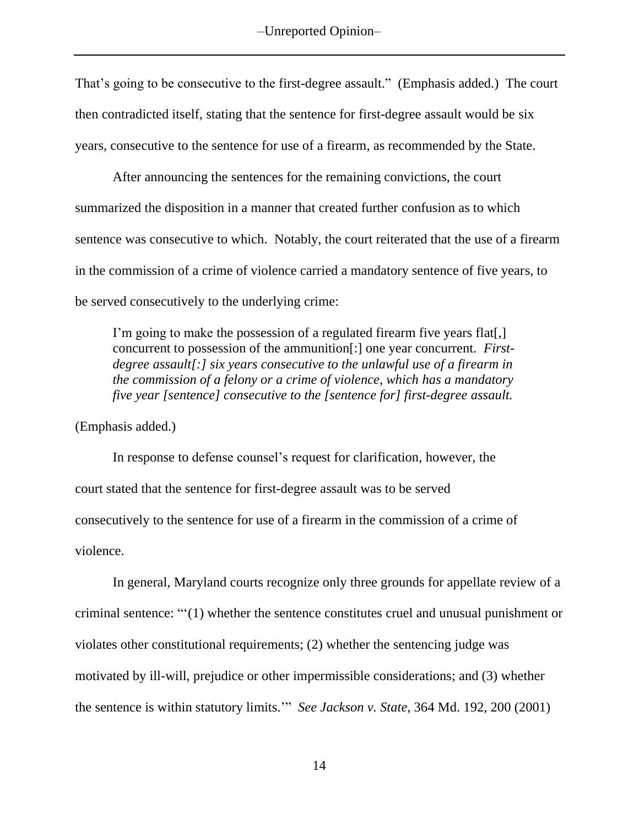That's going to be consecutive to the first-degree assault." (Emphasis added.) The court then contradicted itself, stating that the sentence for first-degree assault would be six years, consecutive to the sentence for use of a firearm, as recommended by the State.

After announcing the sentences for the remaining convictions, the court summarized the disposition in a manner that created further confusion as to which sentence was consecutive to which. Notably, the court reiterated that the use of a firearm in the commission of a crime of violence carried a mandatory sentence of five years, to be served consecutively to the underlying crime:

I'm going to make the possession of a regulated firearm five years flat[,] concurrent to possession of the ammunition[:] one year concurrent. *Firstdegree assault[:] six years consecutive to the unlawful use of a firearm in the commission of a felony or a crime of violence, which has a mandatory five year [sentence] consecutive to the [sentence for] first-degree assault.*

(Emphasis added.)

In response to defense counsel's request for clarification, however, the court stated that the sentence for first-degree assault was to be served consecutively to the sentence for use of a firearm in the commission of a crime of violence.

In general, Maryland courts recognize only three grounds for appellate review of a criminal sentence: "'(1) whether the sentence constitutes cruel and unusual punishment or violates other constitutional requirements; (2) whether the sentencing judge was motivated by ill-will, prejudice or other impermissible considerations; and (3) whether the sentence is within statutory limits.'" *See Jackson v. State*, 364 Md. 192, 200 (2001)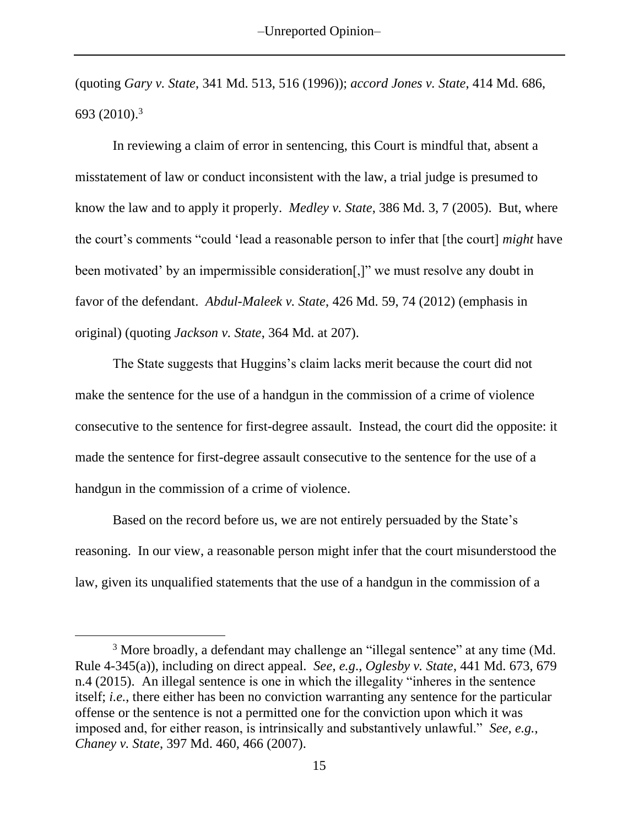(quoting *Gary v. State*, 341 Md. 513, 516 (1996)); *accord Jones v. State*, 414 Md. 686, 693 (2010). 3

In reviewing a claim of error in sentencing, this Court is mindful that, absent a misstatement of law or conduct inconsistent with the law, a trial judge is presumed to know the law and to apply it properly. *Medley v. State*, 386 Md. 3, 7 (2005). But, where the court's comments "could 'lead a reasonable person to infer that [the court] *might* have been motivated' by an impermissible consideration[,]" we must resolve any doubt in favor of the defendant. *Abdul-Maleek v. State*, 426 Md. 59, 74 (2012) (emphasis in original) (quoting *Jackson v. State*, 364 Md. at 207).

The State suggests that Huggins's claim lacks merit because the court did not make the sentence for the use of a handgun in the commission of a crime of violence consecutive to the sentence for first-degree assault. Instead, the court did the opposite: it made the sentence for first-degree assault consecutive to the sentence for the use of a handgun in the commission of a crime of violence.

Based on the record before us, we are not entirely persuaded by the State's reasoning. In our view, a reasonable person might infer that the court misunderstood the law, given its unqualified statements that the use of a handgun in the commission of a

<sup>&</sup>lt;sup>3</sup> More broadly, a defendant may challenge an "illegal sentence" at any time (Md. Rule 4-345(a)), including on direct appeal. *See*, *e.g*., *Oglesby v. State*, 441 Md. 673, 679 n.4 (2015). An illegal sentence is one in which the illegality "inheres in the sentence itself; *i.e.*, there either has been no conviction warranting any sentence for the particular offense or the sentence is not a permitted one for the conviction upon which it was imposed and, for either reason, is intrinsically and substantively unlawful." *See, e.g.*, *Chaney v. State*, 397 Md. 460, 466 (2007).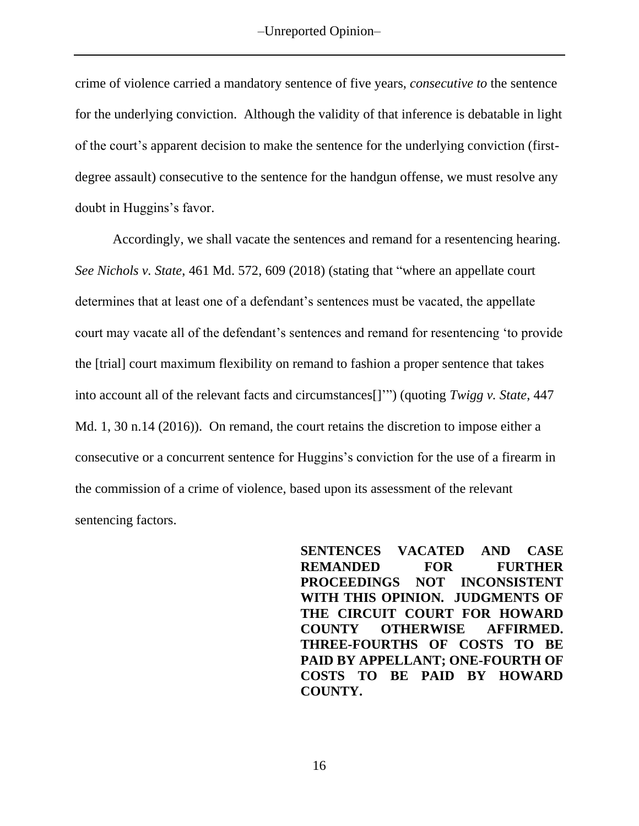crime of violence carried a mandatory sentence of five years, *consecutive to* the sentence for the underlying conviction. Although the validity of that inference is debatable in light of the court's apparent decision to make the sentence for the underlying conviction (firstdegree assault) consecutive to the sentence for the handgun offense, we must resolve any doubt in Huggins's favor.

Accordingly, we shall vacate the sentences and remand for a resentencing hearing. *See Nichols v. State*, 461 Md. 572, 609 (2018) (stating that "where an appellate court determines that at least one of a defendant's sentences must be vacated, the appellate court may vacate all of the defendant's sentences and remand for resentencing 'to provide the [trial] court maximum flexibility on remand to fashion a proper sentence that takes into account all of the relevant facts and circumstances[]'") (quoting *Twigg v. State*, 447 Md. 1, 30 n.14 (2016)). On remand, the court retains the discretion to impose either a consecutive or a concurrent sentence for Huggins's conviction for the use of a firearm in the commission of a crime of violence, based upon its assessment of the relevant sentencing factors.

> **SENTENCES VACATED AND CASE REMANDED FOR FURTHER PROCEEDINGS NOT INCONSISTENT WITH THIS OPINION. JUDGMENTS OF THE CIRCUIT COURT FOR HOWARD COUNTY OTHERWISE AFFIRMED. THREE-FOURTHS OF COSTS TO BE PAID BY APPELLANT; ONE-FOURTH OF COSTS TO BE PAID BY HOWARD COUNTY.**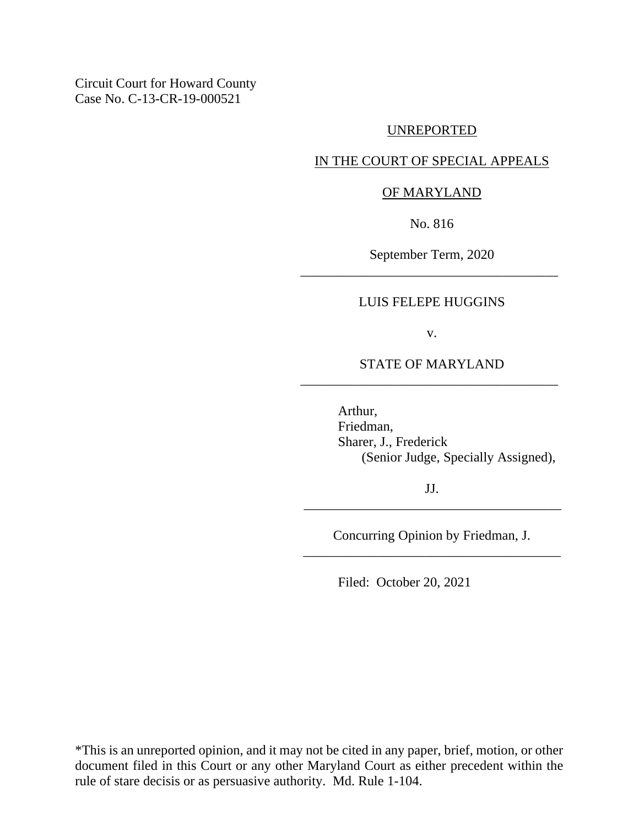Circuit Court for Howard County Case No. C-13-CR-19-000521

### UNREPORTED

# IN THE COURT OF SPECIAL APPEALS

### OF MARYLAND

No. 816

September Term, 2020 \_\_\_\_\_\_\_\_\_\_\_\_\_\_\_\_\_\_\_\_\_\_\_\_\_\_\_\_\_\_\_\_\_\_\_\_\_\_

### LUIS FELEPE HUGGINS

v.

# STATE OF MARYLAND \_\_\_\_\_\_\_\_\_\_\_\_\_\_\_\_\_\_\_\_\_\_\_\_\_\_\_\_\_\_\_\_\_\_\_\_\_\_

Arthur, Friedman, Sharer, J., Frederick (Senior Judge, Specially Assigned),

JJ. \_\_\_\_\_\_\_\_\_\_\_\_\_\_\_\_\_\_\_\_\_\_\_\_\_\_\_\_\_\_\_\_\_\_\_\_\_\_

Concurring Opinion by Friedman, J. \_\_\_\_\_\_\_\_\_\_\_\_\_\_\_\_\_\_\_\_\_\_\_\_\_\_\_\_\_\_\_\_\_\_\_\_\_\_

Filed: October 20, 2021

\*This is an unreported opinion, and it may not be cited in any paper, brief, motion, or other document filed in this Court or any other Maryland Court as either precedent within the rule of stare decisis or as persuasive authority. Md. Rule 1-104.